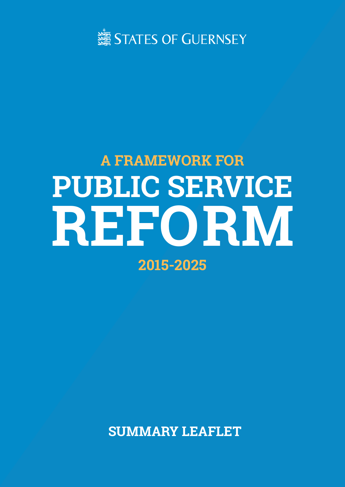

# **A FRAMEWORK FOR PUBLIC SERVICE REF ORM 2015-2025**

**SUMMARY LEAFLET**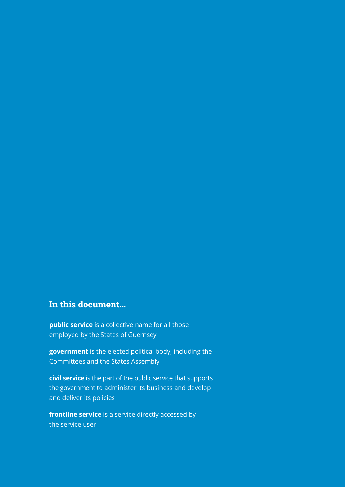## **In this document…**

**public service** is a collective name for all those employed by the States of Guernsey

**government** is the elected political body, including the Committees and the States Assembly

**civil service** is the part of the public service that supports the government to administer its business and develop and deliver its policies

**frontline service** is a service directly accessed by the service user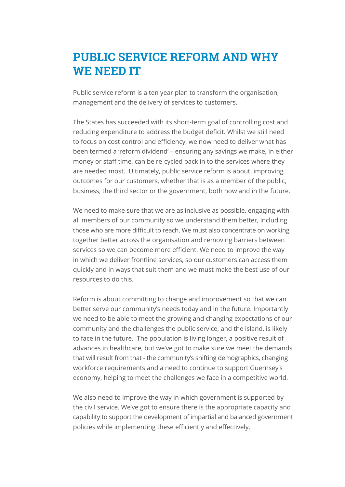## **PUBLIC SERVICE REFORM AND WHY WE NEED IT**

Public service reform is a ten year plan to transform the organisation, management and the delivery of services to customers.

The States has succeeded with its short-term goal of controlling cost and reducing expenditure to address the budget deficit. Whilst we still need to focus on cost control and efficiency, we now need to deliver what has been termed a 'reform dividend' – ensuring any savings we make, in either money or staff time, can be re-cycled back in to the services where they are needed most. Ultimately, public service reform is about improving outcomes for our customers, whether that is as a member of the public, business, the third sector or the government, both now and in the future.

We need to make sure that we are as inclusive as possible, engaging with all members of our community so we understand them better, including those who are more difficult to reach. We must also concentrate on working together better across the organisation and removing barriers between services so we can become more efficient. We need to improve the way in which we deliver frontline services, so our customers can access them quickly and in ways that suit them and we must make the best use of our resources to do this.

Reform is about committing to change and improvement so that we can better serve our community's needs today and in the future. Importantly we need to be able to meet the growing and changing expectations of our community and the challenges the public service, and the island, is likely to face in the future. The population is living longer, a positive result of advances in healthcare, but we've got to make sure we meet the demands that will result from that - the community's shifting demographics, changing workforce requirements and a need to continue to support Guernsey's economy, helping to meet the challenges we face in a competitive world.

We also need to improve the way in which government is supported by the civil service. We've got to ensure there is the appropriate capacity and capability to support the development of impartial and balanced government policies while implementing these efficiently and effectively.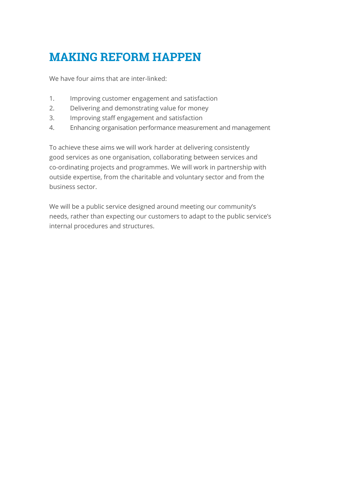# **MAKING REFORM HAPPEN**

We have four aims that are inter-linked:

- 1. Improving customer engagement and satisfaction
- 2. Delivering and demonstrating value for money
- 3. Improving staff engagement and satisfaction
- 4. Enhancing organisation performance measurement and management

To achieve these aims we will work harder at delivering consistently good services as one organisation, collaborating between services and co-ordinating projects and programmes. We will work in partnership with outside expertise, from the charitable and voluntary sector and from the business sector.

We will be a public service designed around meeting our community's needs, rather than expecting our customers to adapt to the public service's internal procedures and structures.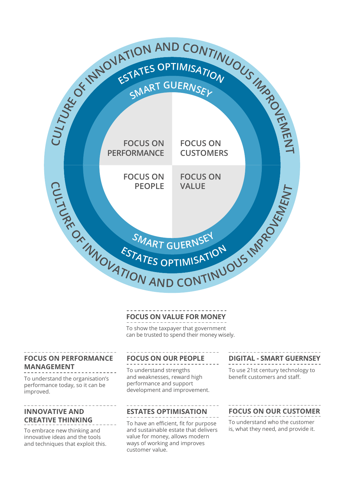

#### **FOCUS ON VALUE FOR MONEY**

To show the taxpayer that government can be trusted to spend their money wisely.

#### **FOCUS ON PERFORMANCE MANAGEMENT**

To understand the organisation's performance today, so it can be improved.

#### **INNOVATIVE AND CREATIVE THINKING**

To embrace new thinking and innovative ideas and the tools and techniques that exploit this.

#### **FOCUS ON OUR PEOPLE**

To understand strengths and weaknesses, reward high performance and support development and improvement.

#### **ESTATES OPTIMISATION**

To have an efficient, fit for purpose and sustainable estate that delivers value for money, allows modern ways of working and improves customer value.

#### **DIGITAL - SMART GUERNSEY**

To use 21st century technology to benefit customers and staff.

#### **FOCUS ON OUR CUSTOMER**

To understand who the customer is, what they need, and provide it.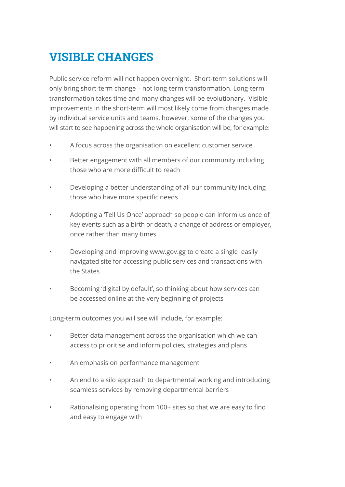## **VISIBLE CHANGES**

Public service reform will not happen overnight. Short-term solutions will only bring short-term change – not long-term transformation. Long-term transformation takes time and many changes will be evolutionary. Visible improvements in the short-term will most likely come from changes made by individual service units and teams, however, some of the changes you will start to see happening across the whole organisation will be, for example:

- A focus across the organisation on excellent customer service
- Better engagement with all members of our community including those who are more difficult to reach
- Developing a better understanding of all our community including those who have more specific needs
- Adopting a 'Tell Us Once' approach so people can inform us once of key events such as a birth or death, a change of address or employer, once rather than many times
- Developing and improving www.gov.gg to create a single easily navigated site for accessing public services and transactions with the States
- Becoming 'digital by default', so thinking about how services can be accessed online at the very beginning of projects

Long-term outcomes you will see will include, for example:

- Better data management across the organisation which we can access to prioritise and inform policies, strategies and plans
- An emphasis on performance management
- An end to a silo approach to departmental working and introducing seamless services by removing departmental barriers
- Rationalising operating from 100+ sites so that we are easy to find and easy to engage with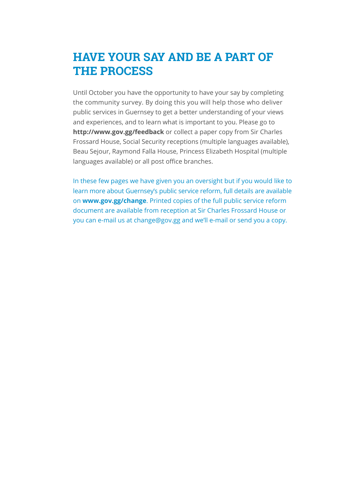## **HAVE YOUR SAY AND BE A PART OF THE PROCESS**

Until October you have the opportunity to have your say by completing the community survey. By doing this you will help those who deliver public services in Guernsey to get a better understanding of your views and experiences, and to learn what is important to you. Please go to **http://www.gov.gg/feedback** or collect a paper copy from Sir Charles Frossard House, Social Security receptions (multiple languages available), Beau Sejour, Raymond Falla House, Princess Elizabeth Hospital (multiple languages available) or all post office branches.

In these few pages we have given you an oversight but if you would like to learn more about Guernsey's public service reform, full details are available on **www.gov.gg/change**. Printed copies of the full public service reform document are available from reception at Sir Charles Frossard House or you can e-mail us at change@gov.gg and we'll e-mail or send you a copy.